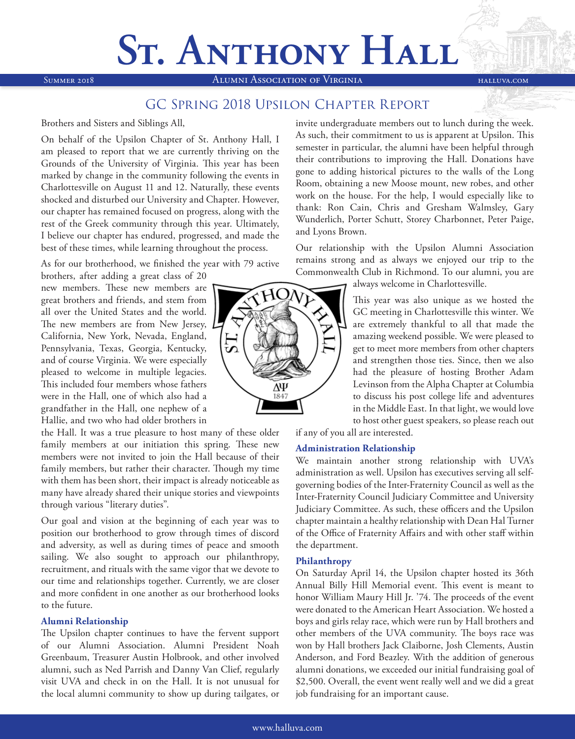# **ST. ANTHONY HALL**

Summer 2018 Alumni Association of Virginia halluva.com

### GC Spring 2018 Upsilon Chapter Report

### Brothers and Sisters and Siblings All,

On behalf of the Upsilon Chapter of St. Anthony Hall, I am pleased to report that we are currently thriving on the Grounds of the University of Virginia. This year has been marked by change in the community following the events in Charlottesville on August 11 and 12. Naturally, these events shocked and disturbed our University and Chapter. However, our chapter has remained focused on progress, along with the rest of the Greek community through this year. Ultimately, I believe our chapter has endured, progressed, and made the best of these times, while learning throughout the process.

As for our brotherhood, we finished the year with 79 active

brothers, after adding a great class of 20 new members. These new members are great brothers and friends, and stem from all over the United States and the world. The new members are from New Jersey, L California, New York, Nevada, England, Pennsylvania, Texas, Georgia, Kentucky, and of course Virginia. We were especially pleased to welcome in multiple legacies. This included four members whose fathers were in the Hall, one of which also had a grandfather in the Hall, one nephew of a Hallie, and two who had older brothers in

the Hall. It was a true pleasure to host many of these older family members at our initiation this spring. These new members were not invited to join the Hall because of their family members, but rather their character. Though my time with them has been short, their impact is already noticeable as many have already shared their unique stories and viewpoints through various "literary duties".

Our goal and vision at the beginning of each year was to position our brotherhood to grow through times of discord and adversity, as well as during times of peace and smooth sailing. We also sought to approach our philanthropy, recruitment, and rituals with the same vigor that we devote to our time and relationships together. Currently, we are closer and more confident in one another as our brotherhood looks to the future.

### **Alumni Relationship**

The Upsilon chapter continues to have the fervent support of our Alumni Association. Alumni President Noah Greenbaum, Treasurer Austin Holbrook, and other involved alumni, such as Ned Parrish and Danny Van Clief, regularly visit UVA and check in on the Hall. It is not unusual for the local alumni community to show up during tailgates, or



invite undergraduate members out to lunch during the week. As such, their commitment to us is apparent at Upsilon. This semester in particular, the alumni have been helpful through their contributions to improving the Hall. Donations have gone to adding historical pictures to the walls of the Long Room, obtaining a new Moose mount, new robes, and other work on the house. For the help, I would especially like to thank: Ron Cain, Chris and Gresham Walmsley, Gary Wunderlich, Porter Schutt, Storey Charbonnet, Peter Paige, and Lyons Brown.

Our relationship with the Upsilon Alumni Association remains strong and as always we enjoyed our trip to the Commonwealth Club in Richmond. To our alumni, you are

always welcome in Charlottesville.

This year was also unique as we hosted the GC meeting in Charlottesville this winter. We are extremely thankful to all that made the amazing weekend possible. We were pleased to get to meet more members from other chapters and strengthen those ties. Since, then we also had the pleasure of hosting Brother Adam Levinson from the Alpha Chapter at Columbia to discuss his post college life and adventures in the Middle East. In that light, we would love to host other guest speakers, so please reach out

if any of you all are interested.

### **Administration Relationship**

We maintain another strong relationship with UVA's administration as well. Upsilon has executives serving all selfgoverning bodies of the Inter-Fraternity Council as well as the Inter-Fraternity Council Judiciary Committee and University Judiciary Committee. As such, these officers and the Upsilon chapter maintain a healthy relationship with Dean Hal Turner of the Office of Fraternity Affairs and with other staff within the department.

### **Philanthropy**

On Saturday April 14, the Upsilon chapter hosted its 36th Annual Billy Hill Memorial event. This event is meant to honor William Maury Hill Jr. '74. The proceeds of the event were donated to the American Heart Association. We hosted a boys and girls relay race, which were run by Hall brothers and other members of the UVA community. The boys race was won by Hall brothers Jack Claiborne, Josh Clements, Austin Anderson, and Ford Beazley. With the addition of generous alumni donations, we exceeded our initial fundraising goal of \$2,500. Overall, the event went really well and we did a great job fundraising for an important cause.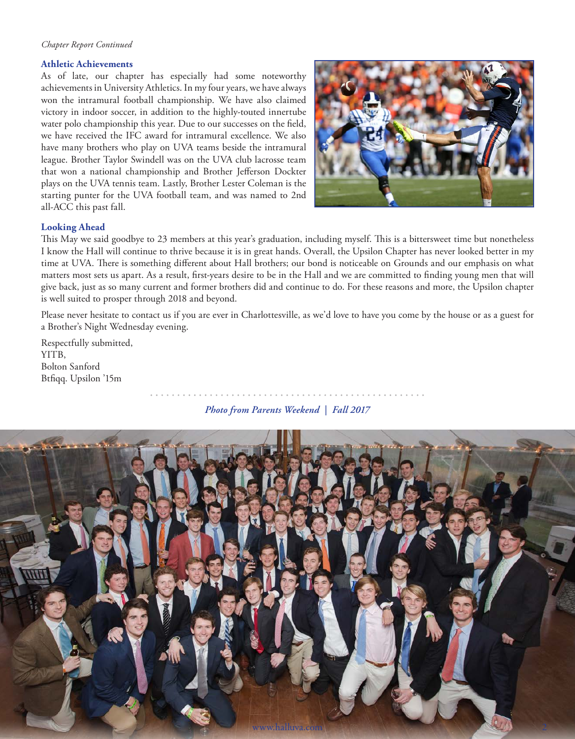#### *Chapter Report Continued*

### **Athletic Achievements**

As of late, our chapter has especially had some noteworthy achievements in University Athletics. In my four years, we have always won the intramural football championship. We have also claimed victory in indoor soccer, in addition to the highly-touted innertube water polo championship this year. Due to our successes on the field, we have received the IFC award for intramural excellence. We also have many brothers who play on UVA teams beside the intramural league. Brother Taylor Swindell was on the UVA club lacrosse team that won a national championship and Brother Jefferson Dockter plays on the UVA tennis team. Lastly, Brother Lester Coleman is the starting punter for the UVA football team, and was named to 2nd all-ACC this past fall.



### **Looking Ahead**

This May we said goodbye to 23 members at this year's graduation, including myself. This is a bittersweet time but nonetheless I know the Hall will continue to thrive because it is in great hands. Overall, the Upsilon Chapter has never looked better in my time at UVA. There is something different about Hall brothers; our bond is noticeable on Grounds and our emphasis on what matters most sets us apart. As a result, first-years desire to be in the Hall and we are committed to finding young men that will give back, just as so many current and former brothers did and continue to do. For these reasons and more, the Upsilon chapter is well suited to prosper through 2018 and beyond.

Please never hesitate to contact us if you are ever in Charlottesville, as we'd love to have you come by the house or as a guest for a Brother's Night Wednesday evening.

Respectfully submitted, YITB, Bolton Sanford Btfiqq. Upsilon '15m

*Photo from Parents Weekend | Fall 2017*

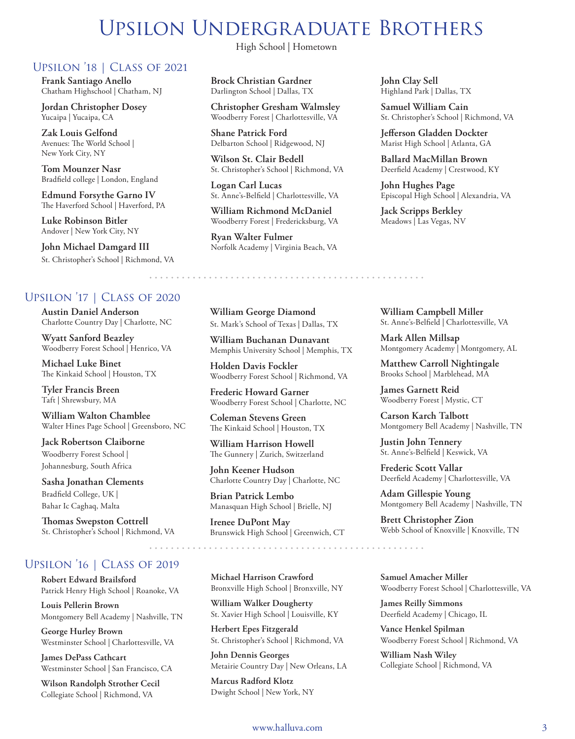### Upsilon Undergraduate Brothers

### Upsilon '18 | Class of 2021

**Frank Santiago Anello** Chatham Highschool | Chatham, NJ

**Jordan Christopher Dosey** Yucaipa | Yucaipa, CA

**Zak Louis Gelfond** Avenues: The World School | New York City, NY

**Tom Mounzer Nasr** Bradfield college | London, England

**Edmund Forsythe Garno IV** The Haverford School | Haverford, PA

**Luke Robinson Bitler** Andover | New York City, NY

**John Michael Damgard III** St. Christopher's School | Richmond, VA

### Upsilon '17 | Class of 2020

**Austin Daniel Anderson** Charlotte Country Day | Charlotte, NC

**Wyatt Sanford Beazley** Woodberry Forest School | Henrico, VA

**Michael Luke Binet** The Kinkaid School | Houston, TX

**Tyler Francis Breen** Taft | Shrewsbury, MA

**William Walton Chamblee** Walter Hines Page School | Greensboro, NC

**Jack Robertson Claiborne** Woodberry Forest School | Johannesburg, South Africa

**Sasha Jonathan Clements** Bradfield College, UK | Bahar Ic Caghaq, Malta

**Thomas Swepston Cottrell** St. Christopher's School | Richmond, VA

### Upsilon '16 | Class of 2019

**Robert Edward Brailsford** Patrick Henry High School | Roanoke, VA

**Louis Pellerin Brown** Montgomery Bell Academy | Nashville, TN

**George Hurley Brown** Westminster School | Charlottesville, VA

**James DePass Cathcart** Westminster School | San Francisco, CA

**Wilson Randolph Strother Cecil** Collegiate School | Richmond, VA

High School | Hometown

**Brock Christian Gardner** Darlington School | Dallas, TX

**Christopher Gresham Walmsley** Woodberry Forest | Charlottesville, VA

**Shane Patrick Ford** Delbarton School | Ridgewood, NJ

**Wilson St. Clair Bedell** St. Christopher's School | Richmond, VA

**Logan Carl Lucas** St. Anne's-Belfield | Charlottesville, VA

**William Richmond McDaniel** Woodberry Forest | Fredericksburg, VA

**Ryan Walter Fulmer** Norfolk Academy | Virginia Beach, VA **John Clay Sell** Highland Park | Dallas, TX

**Samuel William Cain** St. Christopher's School | Richmond, VA

**Jefferson Gladden Dockter** Marist High School | Atlanta, GA

**Ballard MacMillan Brown** Deerfield Academy | Crestwood, KY

**John Hughes Page** Episcopal High School | Alexandria, VA

**Jack Scripps Berkley** Meadows | Las Vegas, NV

**William George Diamond**  St. Mark's School of Texas | Dallas, TX

**William Buchanan Dunavant** Memphis University School | Memphis, TX

**Holden Davis Fockler** Woodberry Forest School | Richmond, VA

**Frederic Howard Garner** Woodberry Forest School | Charlotte, NC

**Coleman Stevens Green** The Kinkaid School | Houston, TX

**William Harrison Howell** The Gunnery | Zurich, Switzerland

**John Keener Hudson** Charlotte Country Day | Charlotte, NC

**Brian Patrick Lembo** Manasquan High School | Brielle, NJ

**Irenee DuPont May** Brunswick High School | Greenwich, CT

**Michael Harrison Crawford** Bronxville High School | Bronxville, NY

**William Walker Dougherty** St. Xavier High School | Louisville, KY

**Herbert Epes Fitzgerald** St. Christopher's School | Richmond, VA

**John Dennis Georges** Metairie Country Day | New Orleans, LA

**Marcus Radford Klotz** Dwight School | New York, NY **William Campbell Miller** St. Anne's-Belfield | Charlottesville, VA

**Mark Allen Millsap** Montgomery Academy | Montgomery, AL

**Matthew Carroll Nightingale** Brooks School | Marblehead, MA

**James Garnett Reid** Woodberry Forest | Mystic, CT

**Carson Karch Talbott** Montgomery Bell Academy | Nashville, TN

**Justin John Tennery** St. Anne's-Belfield | Keswick, VA

**Frederic Scott Vallar** Deerfield Academy | Charlottesville, VA

**Adam Gillespie Young** Montgomery Bell Academy | Nashville, TN

**Brett Christopher Zion** Webb School of Knoxville | Knoxville, TN

**Samuel Amacher Miller** Woodberry Forest School | Charlottesville, VA

**James Reilly Simmons** Deerfield Academy | Chicago, IL

**Vance Henkel Spilman** Woodberry Forest School | Richmond, VA

**William Nash Wiley** Collegiate School | Richmond, VA

### www.halluva.com